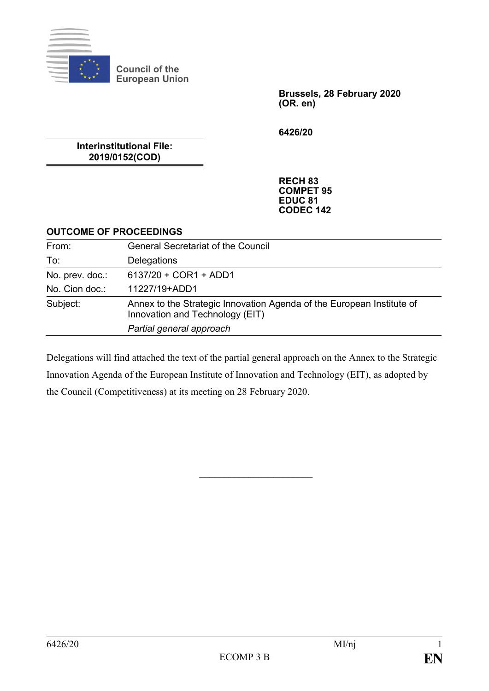

**Council of the European Union**

> **Brussels, 28 February 2020 (OR. en)**

**6426/20**

**Interinstitutional File: 2019/0152(COD)**

> **RECH 83 COMPET 95 EDUC 81 CODEC 142**

#### **OUTCOME OF PROCEEDINGS**

| From:           | <b>General Secretariat of the Council</b>                                                                |  |  |
|-----------------|----------------------------------------------------------------------------------------------------------|--|--|
| To:             | Delegations                                                                                              |  |  |
| No. prev. doc.: | 6137/20 + COR1 + ADD1                                                                                    |  |  |
| No. Cion doc.:  | 11227/19+ADD1                                                                                            |  |  |
| Subject:        | Annex to the Strategic Innovation Agenda of the European Institute of<br>Innovation and Technology (EIT) |  |  |
|                 | Partial general approach                                                                                 |  |  |

Delegations will find attached the text of the partial general approach on the Annex to the Strategic Innovation Agenda of the European Institute of Innovation and Technology (EIT), as adopted by the Council (Competitiveness) at its meeting on 28 February 2020.

 $\overline{\phantom{a}}$  , where  $\overline{\phantom{a}}$  , where  $\overline{\phantom{a}}$  , where  $\overline{\phantom{a}}$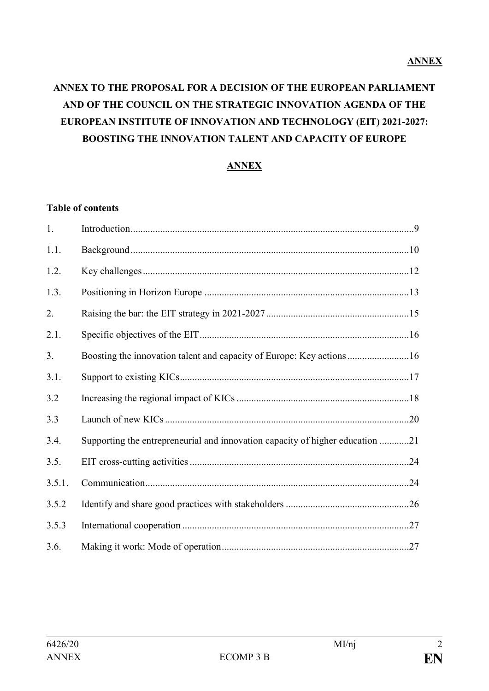# **ANNEX TO THE PROPOSAL FOR A DECISION OF THE EUROPEAN PARLIAMENT AND OF THE COUNCIL ON THE STRATEGIC INNOVATION AGENDA OF THE EUROPEAN INSTITUTE OF INNOVATION AND TECHNOLOGY (EIT) 2021-2027: BOOSTING THE INNOVATION TALENT AND CAPACITY OF EUROPE**

## **ANNEX**

### **Table of contents**

| 1.     |                                                                               |  |
|--------|-------------------------------------------------------------------------------|--|
| 1.1.   |                                                                               |  |
| 1.2.   |                                                                               |  |
| 1.3.   |                                                                               |  |
| 2.     |                                                                               |  |
| 2.1.   |                                                                               |  |
| 3.     | Boosting the innovation talent and capacity of Europe: Key actions16          |  |
| 3.1.   |                                                                               |  |
| 3.2    |                                                                               |  |
| 3.3    |                                                                               |  |
| 3.4.   | Supporting the entrepreneurial and innovation capacity of higher education 21 |  |
| 3.5.   |                                                                               |  |
| 3.5.1. |                                                                               |  |
| 3.5.2  |                                                                               |  |
| 3.5.3  |                                                                               |  |
| 3.6.   |                                                                               |  |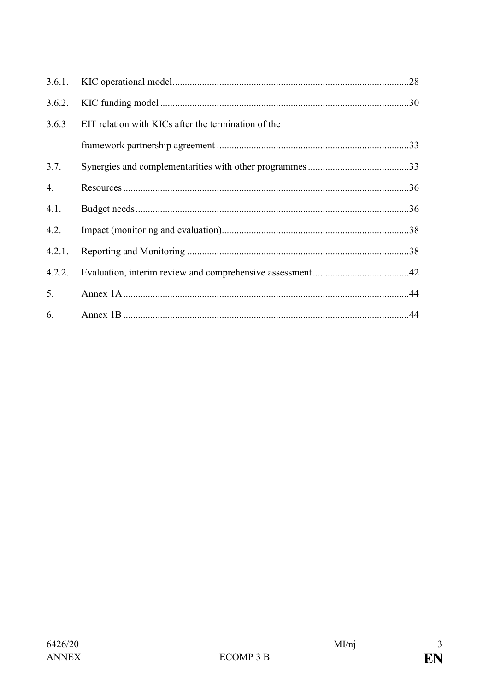| 3.6.1. |                                                     |  |  |
|--------|-----------------------------------------------------|--|--|
| 3.6.2. |                                                     |  |  |
| 3.6.3  | EIT relation with KICs after the termination of the |  |  |
|        |                                                     |  |  |
| 3.7.   |                                                     |  |  |
| 4.     |                                                     |  |  |
| 4.1.   |                                                     |  |  |
| 4.2.   |                                                     |  |  |
| 4.2.1. |                                                     |  |  |
| 4.2.2. |                                                     |  |  |
| 5.     |                                                     |  |  |
| 6.     |                                                     |  |  |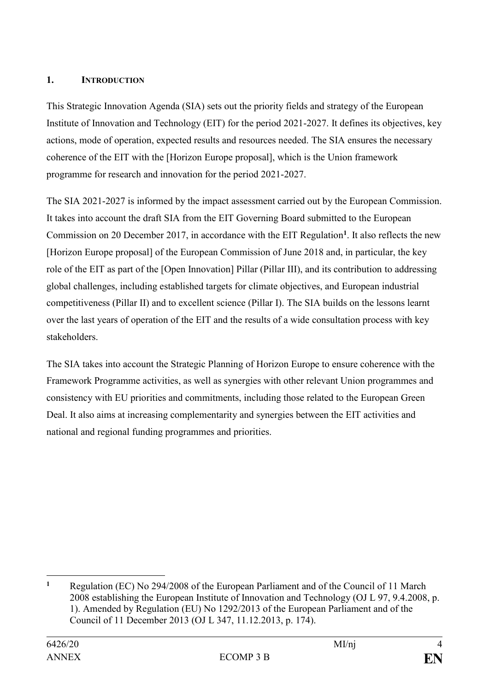#### **1. INTRODUCTION**

This Strategic Innovation Agenda (SIA) sets out the priority fields and strategy of the European Institute of Innovation and Technology (EIT) for the period 2021-2027. It defines its objectives, key actions, mode of operation, expected results and resources needed. The SIA ensures the necessary coherence of the EIT with the [Horizon Europe proposal], which is the Union framework programme for research and innovation for the period 2021-2027.

The SIA 2021-2027 is informed by the impact assessment carried out by the European Commission. It takes into account the draft SIA from the EIT Governing Board submitted to the European Commission on 20 December 2017, in accordance with the EIT Regulation**<sup>1</sup>** . It also reflects the new [Horizon Europe proposal] of the European Commission of June 2018 and, in particular, the key role of the EIT as part of the [Open Innovation] Pillar (Pillar III), and its contribution to addressing global challenges, including established targets for climate objectives, and European industrial competitiveness (Pillar II) and to excellent science (Pillar I). The SIA builds on the lessons learnt over the last years of operation of the EIT and the results of a wide consultation process with key stakeholders.

The SIA takes into account the Strategic Planning of Horizon Europe to ensure coherence with the Framework Programme activities, as well as synergies with other relevant Union programmes and consistency with EU priorities and commitments, including those related to the European Green Deal. It also aims at increasing complementarity and synergies between the EIT activities and national and regional funding programmes and priorities.

<sup>1</sup> **<sup>1</sup>** Regulation (EC) No 294/2008 of the European Parliament and of the Council of 11 March 2008 establishing the European Institute of Innovation and Technology (OJ L 97, 9.4.2008, p. 1). Amended by Regulation (EU) No 1292/2013 of the European Parliament and of the Council of 11 December 2013 (OJ L 347, 11.12.2013, p. 174).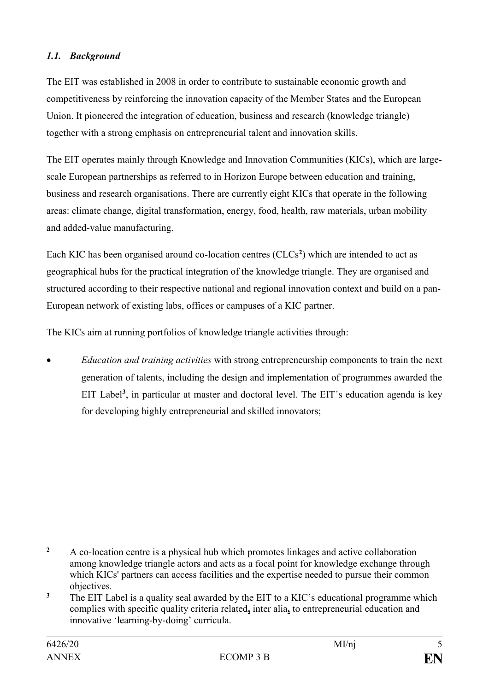## *1.1. Background*

The EIT was established in 2008 in order to contribute to sustainable economic growth and competitiveness by reinforcing the innovation capacity of the Member States and the European Union. It pioneered the integration of education, business and research (knowledge triangle) together with a strong emphasis on entrepreneurial talent and innovation skills.

The EIT operates mainly through Knowledge and Innovation Communities (KICs), which are largescale European partnerships as referred to in Horizon Europe between education and training, business and research organisations. There are currently eight KICs that operate in the following areas: climate change, digital transformation, energy, food, health, raw materials, urban mobility and added-value manufacturing.

Each KIC has been organised around co-location centres (CLCs**<sup>2</sup>** ) which are intended to act as geographical hubs for the practical integration of the knowledge triangle. They are organised and structured according to their respective national and regional innovation context and build on a pan-European network of existing labs, offices or campuses of a KIC partner.

The KICs aim at running portfolios of knowledge triangle activities through:

• *Education and training activities* with strong entrepreneurship components to train the next generation of talents, including the design and implementation of programmes awarded the EIT Label<sup>3</sup>, in particular at master and doctoral level. The EIT's education agenda is key for developing highly entrepreneurial and skilled innovators;

<sup>1</sup> **<sup>2</sup>** A co-location centre is a physical hub which promotes linkages and active collaboration among knowledge triangle actors and acts as a focal point for knowledge exchange through which KICs' partners can access facilities and the expertise needed to pursue their common objectives*.*

<sup>&</sup>lt;sup>3</sup> The EIT Label is a quality seal awarded by the EIT to a KIC's educational programme which complies with specific quality criteria related**,** inter alia**,** to entrepreneurial education and innovative 'learning-by-doing' curricula.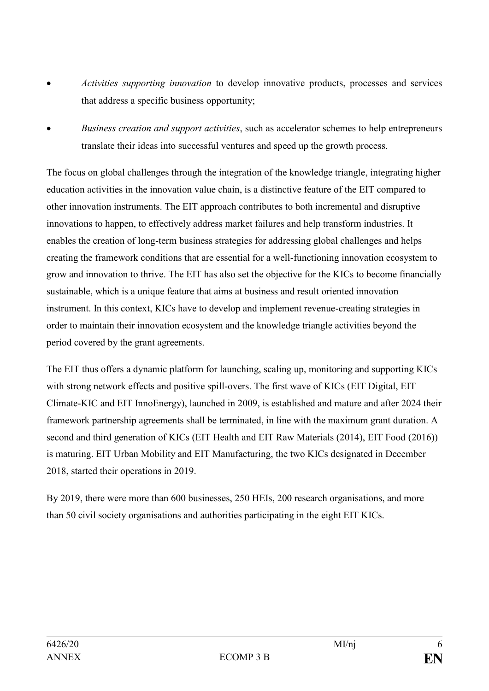- *Activities supporting innovation* to develop innovative products, processes and services that address a specific business opportunity;
- *Business creation and support activities*, such as accelerator schemes to help entrepreneurs translate their ideas into successful ventures and speed up the growth process.

The focus on global challenges through the integration of the knowledge triangle, integrating higher education activities in the innovation value chain, is a distinctive feature of the EIT compared to other innovation instruments. The EIT approach contributes to both incremental and disruptive innovations to happen, to effectively address market failures and help transform industries. It enables the creation of long-term business strategies for addressing global challenges and helps creating the framework conditions that are essential for a well-functioning innovation ecosystem to grow and innovation to thrive. The EIT has also set the objective for the KICs to become financially sustainable, which is a unique feature that aims at business and result oriented innovation instrument. In this context, KICs have to develop and implement revenue-creating strategies in order to maintain their innovation ecosystem and the knowledge triangle activities beyond the period covered by the grant agreements.

The EIT thus offers a dynamic platform for launching, scaling up, monitoring and supporting KICs with strong network effects and positive spill-overs. The first wave of KICs (EIT Digital, EIT) Climate-KIC and EIT InnoEnergy), launched in 2009, is established and mature and after 2024 their framework partnership agreements shall be terminated, in line with the maximum grant duration. A second and third generation of KICs (EIT Health and EIT Raw Materials (2014), EIT Food (2016)) is maturing. EIT Urban Mobility and EIT Manufacturing, the two KICs designated in December 2018, started their operations in 2019.

By 2019, there were more than 600 businesses, 250 HEIs, 200 research organisations, and more than 50 civil society organisations and authorities participating in the eight EIT KICs.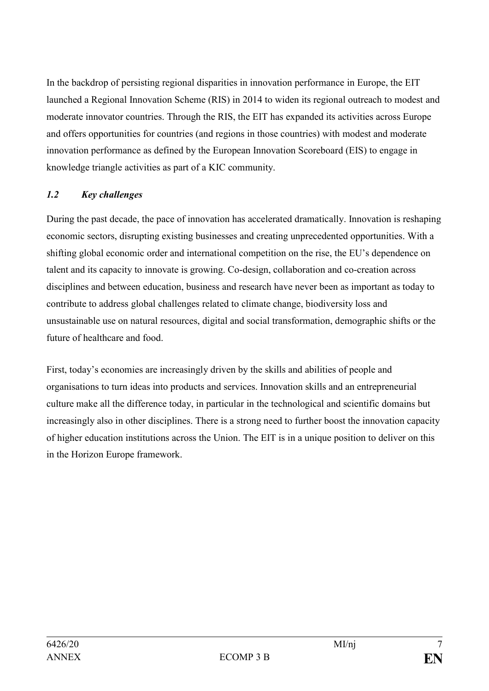In the backdrop of persisting regional disparities in innovation performance in Europe, the EIT launched a Regional Innovation Scheme (RIS) in 2014 to widen its regional outreach to modest and moderate innovator countries. Through the RIS, the EIT has expanded its activities across Europe and offers opportunities for countries (and regions in those countries) with modest and moderate innovation performance as defined by the European Innovation Scoreboard (EIS) to engage in knowledge triangle activities as part of a KIC community.

## *1.2 Key challenges*

During the past decade, the pace of innovation has accelerated dramatically. Innovation is reshaping economic sectors, disrupting existing businesses and creating unprecedented opportunities. With a shifting global economic order and international competition on the rise, the EU's dependence on talent and its capacity to innovate is growing. Co-design, collaboration and co-creation across disciplines and between education, business and research have never been as important as today to contribute to address global challenges related to climate change, biodiversity loss and unsustainable use on natural resources, digital and social transformation, demographic shifts or the future of healthcare and food.

First, today's economies are increasingly driven by the skills and abilities of people and organisations to turn ideas into products and services. Innovation skills and an entrepreneurial culture make all the difference today, in particular in the technological and scientific domains but increasingly also in other disciplines. There is a strong need to further boost the innovation capacity of higher education institutions across the Union. The EIT is in a unique position to deliver on this in the Horizon Europe framework.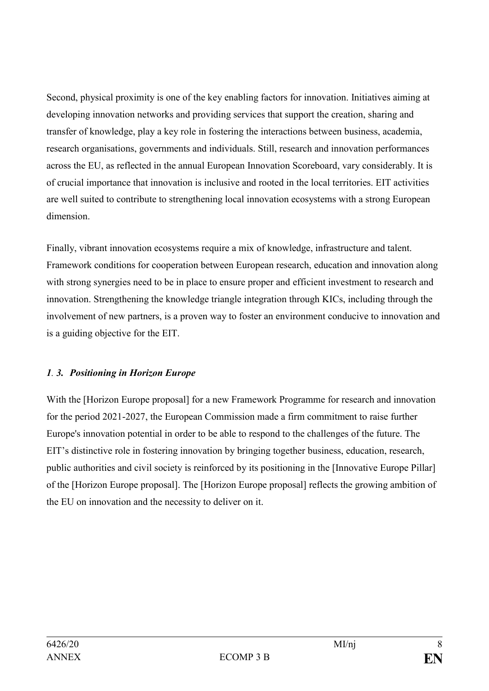Second, physical proximity is one of the key enabling factors for innovation. Initiatives aiming at developing innovation networks and providing services that support the creation, sharing and transfer of knowledge, play a key role in fostering the interactions between business, academia, research organisations, governments and individuals. Still, research and innovation performances across the EU, as reflected in the annual European Innovation Scoreboard, vary considerably. It is of crucial importance that innovation is inclusive and rooted in the local territories. EIT activities are well suited to contribute to strengthening local innovation ecosystems with a strong European dimension.

Finally, vibrant innovation ecosystems require a mix of knowledge, infrastructure and talent. Framework conditions for cooperation between European research, education and innovation along with strong synergies need to be in place to ensure proper and efficient investment to research and innovation. Strengthening the knowledge triangle integration through KICs, including through the involvement of new partners, is a proven way to foster an environment conducive to innovation and is a guiding objective for the EIT.

## *1. 3. Positioning in Horizon Europe*

With the [Horizon Europe proposal] for a new Framework Programme for research and innovation for the period 2021-2027, the European Commission made a firm commitment to raise further Europe's innovation potential in order to be able to respond to the challenges of the future. The EIT's distinctive role in fostering innovation by bringing together business, education, research, public authorities and civil society is reinforced by its positioning in the [Innovative Europe Pillar] of the [Horizon Europe proposal]. The [Horizon Europe proposal] reflects the growing ambition of the EU on innovation and the necessity to deliver on it.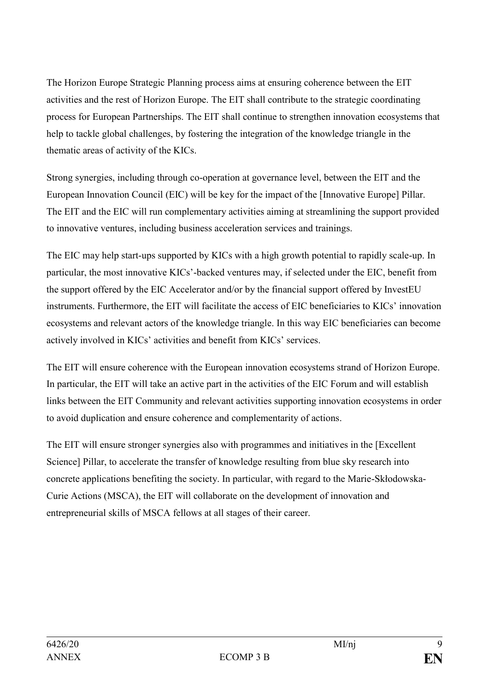The Horizon Europe Strategic Planning process aims at ensuring coherence between the EIT activities and the rest of Horizon Europe. The EIT shall contribute to the strategic coordinating process for European Partnerships. The EIT shall continue to strengthen innovation ecosystems that help to tackle global challenges, by fostering the integration of the knowledge triangle in the thematic areas of activity of the KICs.

Strong synergies, including through co-operation at governance level, between the EIT and the European Innovation Council (EIC) will be key for the impact of the [Innovative Europe] Pillar. The EIT and the EIC will run complementary activities aiming at streamlining the support provided to innovative ventures, including business acceleration services and trainings.

The EIC may help start-ups supported by KICs with a high growth potential to rapidly scale-up. In particular, the most innovative KICs'-backed ventures may, if selected under the EIC, benefit from the support offered by the EIC Accelerator and/or by the financial support offered by InvestEU instruments. Furthermore, the EIT will facilitate the access of EIC beneficiaries to KICs' innovation ecosystems and relevant actors of the knowledge triangle. In this way EIC beneficiaries can become actively involved in KICs' activities and benefit from KICs' services.

The EIT will ensure coherence with the European innovation ecosystems strand of Horizon Europe. In particular, the EIT will take an active part in the activities of the EIC Forum and will establish links between the EIT Community and relevant activities supporting innovation ecosystems in order to avoid duplication and ensure coherence and complementarity of actions.

The EIT will ensure stronger synergies also with programmes and initiatives in the [Excellent Science] Pillar, to accelerate the transfer of knowledge resulting from blue sky research into concrete applications benefiting the society. In particular, with regard to the Marie-Skłodowska-Curie Actions (MSCA), the EIT will collaborate on the development of innovation and entrepreneurial skills of MSCA fellows at all stages of their career.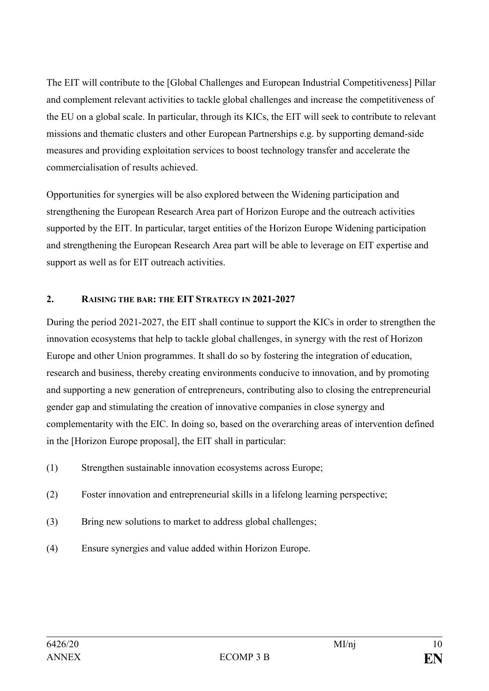The EIT will contribute to the [Global Challenges and European Industrial Competitiveness] Pillar and complement relevant activities to tackle global challenges and increase the competitiveness of the EU on a global scale. In particular, through its KICs, the EIT will seek to contribute to relevant missions and thematic clusters and other European Partnerships e.g. by supporting demand-side measures and providing exploitation services to boost technology transfer and accelerate the commercialisation of results achieved.

Opportunities for synergies will be also explored between the Widening participation and strengthening the European Research Area part of Horizon Europe and the outreach activities supported by the EIT. In particular, target entities of the Horizon Europe Widening participation and strengthening the European Research Area part will be able to leverage on EIT expertise and support as well as for EIT outreach activities.

## **2. RAISING THE BAR: THE EIT STRATEGY IN 2021-2027**

During the period 2021-2027, the EIT shall continue to support the KICs in order to strengthen the innovation ecosystems that help to tackle global challenges, in synergy with the rest of Horizon Europe and other Union programmes. It shall do so by fostering the integration of education, research and business, thereby creating environments conducive to innovation, and by promoting and supporting a new generation of entrepreneurs, contributing also to closing the entrepreneurial gender gap and stimulating the creation of innovative companies in close synergy and complementarity with the EIC. In doing so, based on the overarching areas of intervention defined in the [Horizon Europe proposal], the EIT shall in particular:

- (1) Strengthen sustainable innovation ecosystems across Europe;
- (2) Foster innovation and entrepreneurial skills in a lifelong learning perspective;
- (3) Bring new solutions to market to address global challenges;
- (4) Ensure synergies and value added within Horizon Europe.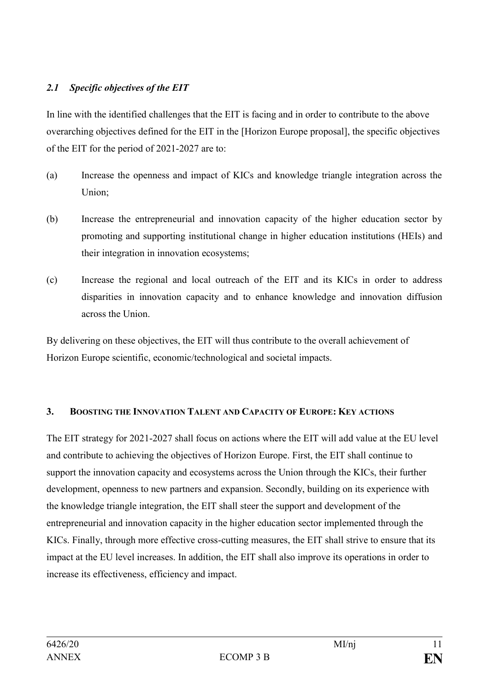## *2.1 Specific objectives of the EIT*

In line with the identified challenges that the EIT is facing and in order to contribute to the above overarching objectives defined for the EIT in the [Horizon Europe proposal], the specific objectives of the EIT for the period of 2021-2027 are to:

- (a) Increase the openness and impact of KICs and knowledge triangle integration across the Union;
- (b) Increase the entrepreneurial and innovation capacity of the higher education sector by promoting and supporting institutional change in higher education institutions (HEIs) and their integration in innovation ecosystems;
- (c) Increase the regional and local outreach of the EIT and its KICs in order to address disparities in innovation capacity and to enhance knowledge and innovation diffusion across the Union.

By delivering on these objectives, the EIT will thus contribute to the overall achievement of Horizon Europe scientific, economic/technological and societal impacts.

#### **3. BOOSTING THE INNOVATION TALENT AND CAPACITY OF EUROPE: KEY ACTIONS**

The EIT strategy for 2021-2027 shall focus on actions where the EIT will add value at the EU level and contribute to achieving the objectives of Horizon Europe. First, the EIT shall continue to support the innovation capacity and ecosystems across the Union through the KICs, their further development, openness to new partners and expansion. Secondly, building on its experience with the knowledge triangle integration, the EIT shall steer the support and development of the entrepreneurial and innovation capacity in the higher education sector implemented through the KICs. Finally, through more effective cross-cutting measures, the EIT shall strive to ensure that its impact at the EU level increases. In addition, the EIT shall also improve its operations in order to increase its effectiveness, efficiency and impact.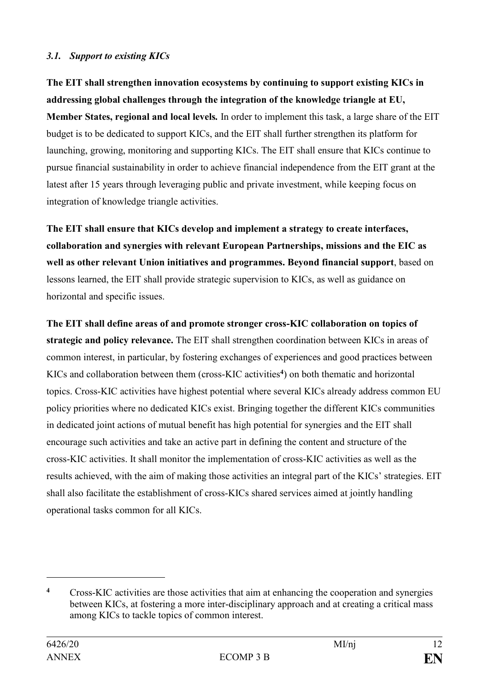#### *3.1. Support to existing KICs*

**The EIT shall strengthen innovation ecosystems by continuing to support existing KICs in addressing global challenges through the integration of the knowledge triangle at EU, Member States, regional and local levels***.* In order to implement this task, a large share of the EIT budget is to be dedicated to support KICs, and the EIT shall further strengthen its platform for launching, growing, monitoring and supporting KICs. The EIT shall ensure that KICs continue to pursue financial sustainability in order to achieve financial independence from the EIT grant at the latest after 15 years through leveraging public and private investment, while keeping focus on integration of knowledge triangle activities.

**The EIT shall ensure that KICs develop and implement a strategy to create interfaces, collaboration and synergies with relevant European Partnerships, missions and the EIC as well as other relevant Union initiatives and programmes. Beyond financial support**, based on lessons learned, the EIT shall provide strategic supervision to KICs, as well as guidance on horizontal and specific issues.

**The EIT shall define areas of and promote stronger cross-KIC collaboration on topics of strategic and policy relevance.** The EIT shall strengthen coordination between KICs in areas of common interest, in particular, by fostering exchanges of experiences and good practices between KICs and collaboration between them (cross-KIC activities**<sup>4</sup>** ) on both thematic and horizontal topics. Cross-KIC activities have highest potential where several KICs already address common EU policy priorities where no dedicated KICs exist. Bringing together the different KICs communities in dedicated joint actions of mutual benefit has high potential for synergies and the EIT shall encourage such activities and take an active part in defining the content and structure of the cross-KIC activities. It shall monitor the implementation of cross-KIC activities as well as the results achieved, with the aim of making those activities an integral part of the KICs' strategies. EIT shall also facilitate the establishment of cross-KICs shared services aimed at jointly handling operational tasks common for all KICs.

<u>.</u>

**<sup>4</sup>** Cross-KIC activities are those activities that aim at enhancing the cooperation and synergies between KICs, at fostering a more inter-disciplinary approach and at creating a critical mass among KICs to tackle topics of common interest.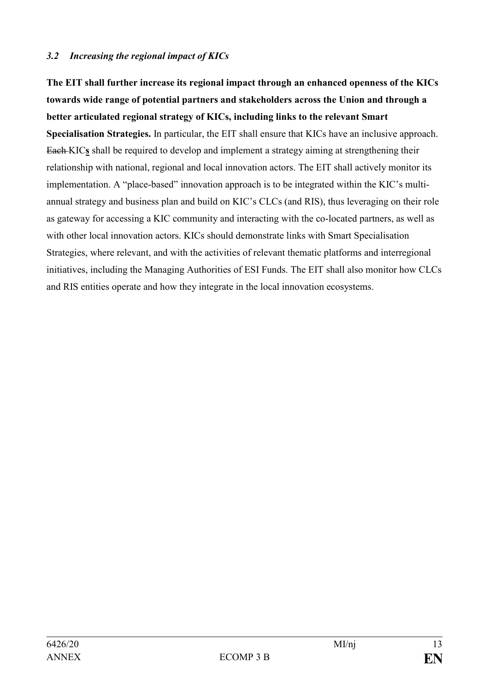#### *3.2 Increasing the regional impact of KICs*

**The EIT shall further increase its regional impact through an enhanced openness of the KICs towards wide range of potential partners and stakeholders across the Union and through a better articulated regional strategy of KICs, including links to the relevant Smart Specialisation Strategies.** In particular, the EIT shall ensure that KICs have an inclusive approach. Each KIC**s** shall be required to develop and implement a strategy aiming at strengthening their relationship with national, regional and local innovation actors. The EIT shall actively monitor its implementation. A "place-based" innovation approach is to be integrated within the KIC's multiannual strategy and business plan and build on KIC's CLCs (and RIS), thus leveraging on their role as gateway for accessing a KIC community and interacting with the co-located partners, as well as with other local innovation actors. KICs should demonstrate links with Smart Specialisation Strategies, where relevant, and with the activities of relevant thematic platforms and interregional initiatives, including the Managing Authorities of ESI Funds. The EIT shall also monitor how CLCs and RIS entities operate and how they integrate in the local innovation ecosystems.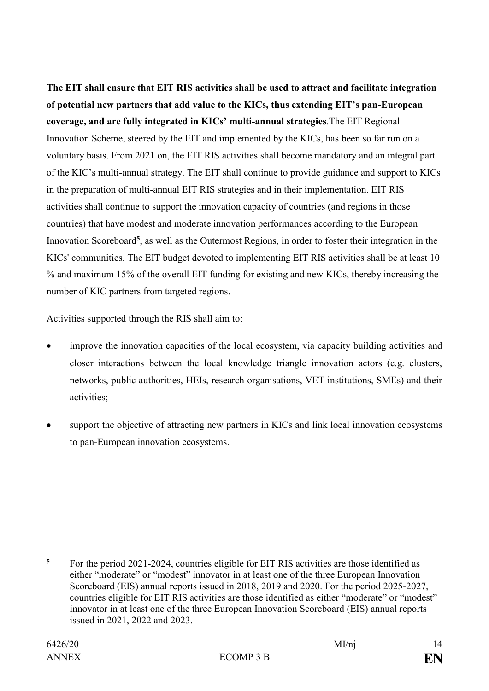**The EIT shall ensure that EIT RIS activities shall be used to attract and facilitate integration of potential new partners that add value to the KICs, thus extending EIT's pan-European coverage, and are fully integrated in KICs' multi-annual strategies***.*The EIT Regional Innovation Scheme, steered by the EIT and implemented by the KICs, has been so far run on a voluntary basis. From 2021 on, the EIT RIS activities shall become mandatory and an integral part of the KIC's multi-annual strategy. The EIT shall continue to provide guidance and support to KICs in the preparation of multi-annual EIT RIS strategies and in their implementation. EIT RIS activities shall continue to support the innovation capacity of countries (and regions in those countries) that have modest and moderate innovation performances according to the European Innovation Scoreboard**<sup>5</sup>** , as well as the Outermost Regions, in order to foster their integration in the KICs' communities. The EIT budget devoted to implementing EIT RIS activities shall be at least 10 % and maximum 15% of the overall EIT funding for existing and new KICs, thereby increasing the number of KIC partners from targeted regions.

Activities supported through the RIS shall aim to:

- improve the innovation capacities of the local ecosystem, via capacity building activities and closer interactions between the local knowledge triangle innovation actors (e.g. clusters, networks, public authorities, HEIs, research organisations, VET institutions, SMEs) and their activities;
- support the objective of attracting new partners in KICs and link local innovation ecosystems to pan-European innovation ecosystems.

1

**<sup>5</sup>** For the period 2021-2024, countries eligible for EIT RIS activities are those identified as either "moderate" or "modest" innovator in at least one of the three European Innovation Scoreboard (EIS) annual reports issued in 2018, 2019 and 2020. For the period 2025-2027, countries eligible for EIT RIS activities are those identified as either "moderate" or "modest" innovator in at least one of the three European Innovation Scoreboard (EIS) annual reports issued in 2021, 2022 and 2023.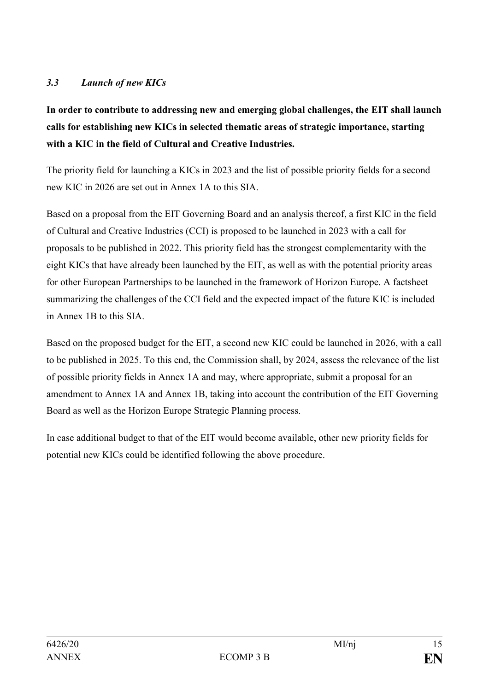## *3.3 Launch of new KICs*

**In order to contribute to addressing new and emerging global challenges, the EIT shall launch calls for establishing new KICs in selected thematic areas of strategic importance, starting with a KIC in the field of Cultural and Creative Industries.**

The priority field for launching a KICs in 2023 and the list of possible priority fields for a second new KIC in 2026 are set out in Annex 1A to this SIA.

Based on a proposal from the EIT Governing Board and an analysis thereof, a first KIC in the field of Cultural and Creative Industries (CCI) is proposed to be launched in 2023 with a call for proposals to be published in 2022. This priority field has the strongest complementarity with the eight KICs that have already been launched by the EIT, as well as with the potential priority areas for other European Partnerships to be launched in the framework of Horizon Europe. A factsheet summarizing the challenges of the CCI field and the expected impact of the future KIC is included in Annex 1B to this SIA.

Based on the proposed budget for the EIT, a second new KIC could be launched in 2026, with a call to be published in 2025. To this end, the Commission shall, by 2024, assess the relevance of the list of possible priority fields in Annex 1A and may, where appropriate, submit a proposal for an amendment to Annex 1A and Annex 1B, taking into account the contribution of the EIT Governing Board as well as the Horizon Europe Strategic Planning process.

In case additional budget to that of the EIT would become available, other new priority fields for potential new KICs could be identified following the above procedure.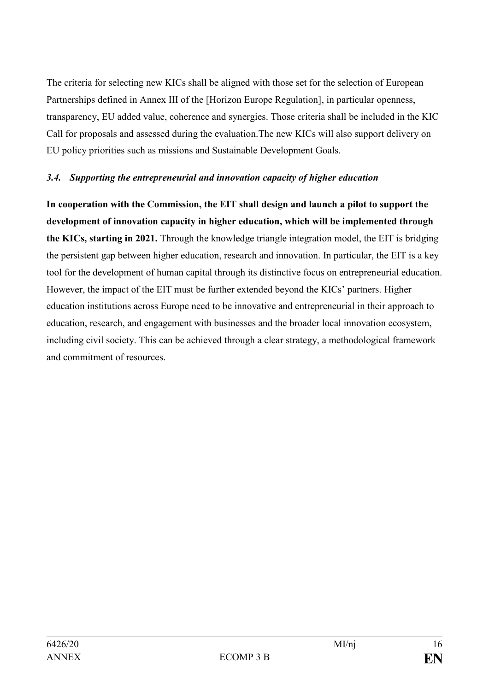The criteria for selecting new KICs shall be aligned with those set for the selection of European Partnerships defined in Annex III of the [Horizon Europe Regulation], in particular openness, transparency, EU added value, coherence and synergies. Those criteria shall be included in the KIC Call for proposals and assessed during the evaluation.The new KICs will also support delivery on EU policy priorities such as missions and Sustainable Development Goals.

#### *3.4. Supporting the entrepreneurial and innovation capacity of higher education*

**In cooperation with the Commission, the EIT shall design and launch a pilot to support the development of innovation capacity in higher education, which will be implemented through the KICs, starting in 2021.** Through the knowledge triangle integration model, the EIT is bridging the persistent gap between higher education, research and innovation. In particular, the EIT is a key tool for the development of human capital through its distinctive focus on entrepreneurial education. However, the impact of the EIT must be further extended beyond the KICs' partners. Higher education institutions across Europe need to be innovative and entrepreneurial in their approach to education, research, and engagement with businesses and the broader local innovation ecosystem, including civil society. This can be achieved through a clear strategy, a methodological framework and commitment of resources.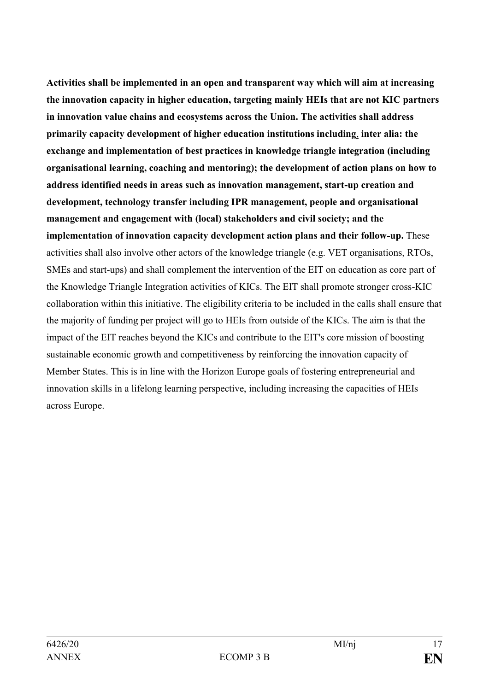**Activities shall be implemented in an open and transparent way which will aim at increasing the innovation capacity in higher education, targeting mainly HEIs that are not KIC partners in innovation value chains and ecosystems across the Union. The activities shall address primarily capacity development of higher education institutions including**, **inter alia: the exchange and implementation of best practices in knowledge triangle integration (including organisational learning, coaching and mentoring); the development of action plans on how to address identified needs in areas such as innovation management, start-up creation and development, technology transfer including IPR management, people and organisational management and engagement with (local) stakeholders and civil society; and the implementation of innovation capacity development action plans and their follow-up.** These activities shall also involve other actors of the knowledge triangle (e.g. VET organisations, RTOs, SMEs and start-ups) and shall complement the intervention of the EIT on education as core part of the Knowledge Triangle Integration activities of KICs. The EIT shall promote stronger cross-KIC collaboration within this initiative. The eligibility criteria to be included in the calls shall ensure that the majority of funding per project will go to HEIs from outside of the KICs. The aim is that the impact of the EIT reaches beyond the KICs and contribute to the EIT's core mission of boosting sustainable economic growth and competitiveness by reinforcing the innovation capacity of Member States. This is in line with the Horizon Europe goals of fostering entrepreneurial and innovation skills in a lifelong learning perspective, including increasing the capacities of HEIs across Europe.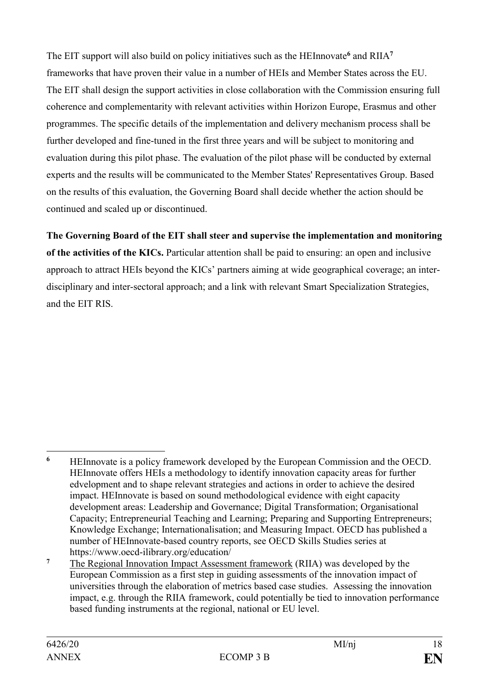The EIT support will also build on policy initiatives such as the HEInnovate**<sup>6</sup>** and RIIA**<sup>7</sup>** frameworks that have proven their value in a number of HEIs and Member States across the EU. The EIT shall design the support activities in close collaboration with the Commission ensuring full coherence and complementarity with relevant activities within Horizon Europe, Erasmus and other programmes. The specific details of the implementation and delivery mechanism process shall be further developed and fine-tuned in the first three years and will be subject to monitoring and evaluation during this pilot phase. The evaluation of the pilot phase will be conducted by external experts and the results will be communicated to the Member States' Representatives Group. Based on the results of this evaluation, the Governing Board shall decide whether the action should be continued and scaled up or discontinued.

**The Governing Board of the EIT shall steer and supervise the implementation and monitoring of the activities of the KICs.** Particular attention shall be paid to ensuring: an open and inclusive approach to attract HEIs beyond the KICs' partners aiming at wide geographical coverage; an interdisciplinary and inter-sectoral approach; and a link with relevant Smart Specialization Strategies, and the EIT RIS.

1

**<sup>6</sup>** HEInnovate is a policy framework developed by the European Commission and the OECD. HEInnovate offers HEIs a methodology to identify innovation capacity areas for further edvelopment and to shape relevant strategies and actions in order to achieve the desired impact. HEInnovate is based on sound methodological evidence with eight capacity development areas: Leadership and Governance; Digital Transformation; Organisational Capacity; Entrepreneurial Teaching and Learning; Preparing and Supporting Entrepreneurs; Knowledge Exchange; Internationalisation; and Measuring Impact. OECD has published a number of HEInnovate-based country reports, see OECD Skills Studies series at https://www.oecd-ilibrary.org/education/

**<sup>7</sup>** The Regional Innovation Impact Assessment framework (RIIA) was developed by the European Commission as a first step in guiding assessments of the innovation impact of universities through the elaboration of metrics based case studies. Assessing the innovation impact, e.g. through the RIIA framework, could potentially be tied to innovation performance based funding instruments at the regional, national or EU level.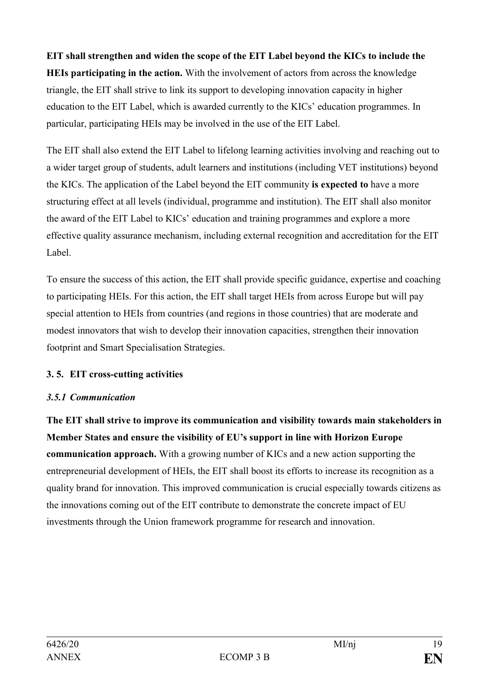**EIT shall strengthen and widen the scope of the EIT Label beyond the KICs to include the HEIs participating in the action.** With the involvement of actors from across the knowledge triangle, the EIT shall strive to link its support to developing innovation capacity in higher education to the EIT Label, which is awarded currently to the KICs' education programmes. In particular, participating HEIs may be involved in the use of the EIT Label.

The EIT shall also extend the EIT Label to lifelong learning activities involving and reaching out to a wider target group of students, adult learners and institutions (including VET institutions) beyond the KICs. The application of the Label beyond the EIT community **is expected to** have a more structuring effect at all levels (individual, programme and institution). The EIT shall also monitor the award of the EIT Label to KICs' education and training programmes and explore a more effective quality assurance mechanism, including external recognition and accreditation for the EIT Label.

To ensure the success of this action, the EIT shall provide specific guidance, expertise and coaching to participating HEIs. For this action, the EIT shall target HEIs from across Europe but will pay special attention to HEIs from countries (and regions in those countries) that are moderate and modest innovators that wish to develop their innovation capacities, strengthen their innovation footprint and Smart Specialisation Strategies.

## **3. 5. EIT cross-cutting activities**

#### *3.5.1 Communication*

**The EIT shall strive to improve its communication and visibility towards main stakeholders in Member States and ensure the visibility of EU's support in line with Horizon Europe communication approach.** With a growing number of KICs and a new action supporting the entrepreneurial development of HEIs, the EIT shall boost its efforts to increase its recognition as a quality brand for innovation. This improved communication is crucial especially towards citizens as the innovations coming out of the EIT contribute to demonstrate the concrete impact of EU investments through the Union framework programme for research and innovation.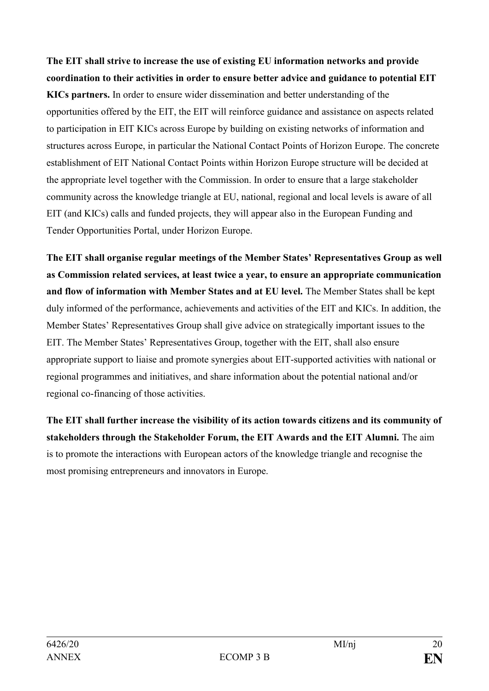**The EIT shall strive to increase the use of existing EU information networks and provide coordination to their activities in order to ensure better advice and guidance to potential EIT KICs partners.** In order to ensure wider dissemination and better understanding of the opportunities offered by the EIT, the EIT will reinforce guidance and assistance on aspects related to participation in EIT KICs across Europe by building on existing networks of information and structures across Europe, in particular the National Contact Points of Horizon Europe. The concrete establishment of EIT National Contact Points within Horizon Europe structure will be decided at the appropriate level together with the Commission. In order to ensure that a large stakeholder community across the knowledge triangle at EU, national, regional and local levels is aware of all EIT (and KICs) calls and funded projects, they will appear also in the European Funding and Tender Opportunities Portal, under Horizon Europe.

**The EIT shall organise regular meetings of the Member States' Representatives Group as well as Commission related services, at least twice a year, to ensure an appropriate communication and flow of information with Member States and at EU level.** The Member States shall be kept duly informed of the performance, achievements and activities of the EIT and KICs. In addition, the Member States' Representatives Group shall give advice on strategically important issues to the EIT. The Member States' Representatives Group, together with the EIT, shall also ensure appropriate support to liaise and promote synergies about EIT-supported activities with national or regional programmes and initiatives, and share information about the potential national and/or regional co-financing of those activities.

**The EIT shall further increase the visibility of its action towards citizens and its community of stakeholders through the Stakeholder Forum, the EIT Awards and the EIT Alumni.** The aim is to promote the interactions with European actors of the knowledge triangle and recognise the most promising entrepreneurs and innovators in Europe.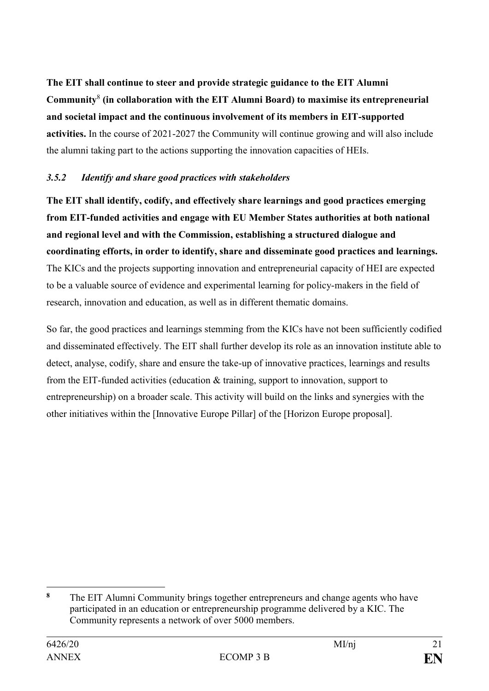**The EIT shall continue to steer and provide strategic guidance to the EIT Alumni Community**<sup>8</sup> **(in collaboration with the EIT Alumni Board) to maximise its entrepreneurial and societal impact and the continuous involvement of its members in EIT-supported activities.** In the course of 2021-2027 the Community will continue growing and will also include the alumni taking part to the actions supporting the innovation capacities of HEIs.

### *3.5.2 Identify and share good practices with stakeholders*

**The EIT shall identify, codify, and effectively share learnings and good practices emerging from EIT-funded activities and engage with EU Member States authorities at both national and regional level and with the Commission, establishing a structured dialogue and coordinating efforts, in order to identify, share and disseminate good practices and learnings.** The KICs and the projects supporting innovation and entrepreneurial capacity of HEI are expected to be a valuable source of evidence and experimental learning for policy-makers in the field of research, innovation and education, as well as in different thematic domains.

So far, the good practices and learnings stemming from the KICs have not been sufficiently codified and disseminated effectively. The EIT shall further develop its role as an innovation institute able to detect, analyse, codify, share and ensure the take-up of innovative practices, learnings and results from the EIT-funded activities (education & training, support to innovation, support to entrepreneurship) on a broader scale. This activity will build on the links and synergies with the other initiatives within the [Innovative Europe Pillar] of the [Horizon Europe proposal].

<sup>&</sup>lt;u>.</u> **<sup>8</sup>** The EIT Alumni Community brings together entrepreneurs and change agents who have participated in an education or entrepreneurship programme delivered by a KIC. The Community represents a network of over 5000 members.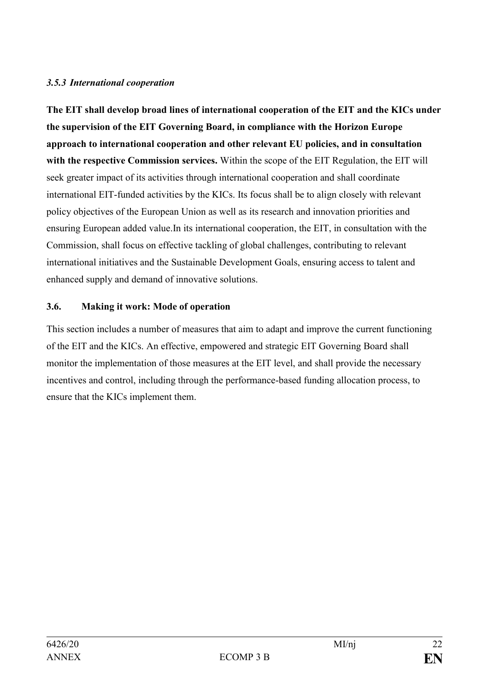## *3.5.3 International cooperation*

**The EIT shall develop broad lines of international cooperation of the EIT and the KICs under the supervision of the EIT Governing Board, in compliance with the Horizon Europe approach to international cooperation and other relevant EU policies, and in consultation with the respective Commission services.** Within the scope of the EIT Regulation, the EIT will seek greater impact of its activities through international cooperation and shall coordinate international EIT-funded activities by the KICs. Its focus shall be to align closely with relevant policy objectives of the European Union as well as its research and innovation priorities and ensuring European added value.In its international cooperation, the EIT, in consultation with the Commission, shall focus on effective tackling of global challenges, contributing to relevant international initiatives and the Sustainable Development Goals, ensuring access to talent and enhanced supply and demand of innovative solutions.

## **3.6. Making it work: Mode of operation**

This section includes a number of measures that aim to adapt and improve the current functioning of the EIT and the KICs. An effective, empowered and strategic EIT Governing Board shall monitor the implementation of those measures at the EIT level, and shall provide the necessary incentives and control, including through the performance-based funding allocation process, to ensure that the KICs implement them.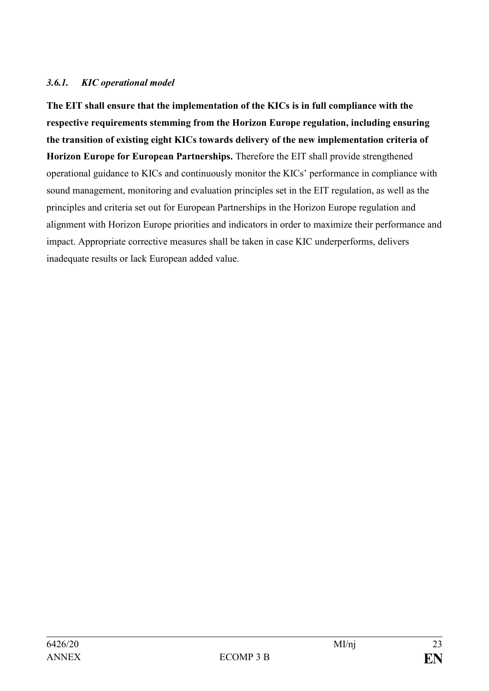## *3.6.1. KIC operational model*

**The EIT shall ensure that the implementation of the KICs is in full compliance with the respective requirements stemming from the Horizon Europe regulation, including ensuring the transition of existing eight KICs towards delivery of the new implementation criteria of Horizon Europe for European Partnerships.** Therefore the EIT shall provide strengthened operational guidance to KICs and continuously monitor the KICs' performance in compliance with sound management, monitoring and evaluation principles set in the EIT regulation, as well as the principles and criteria set out for European Partnerships in the Horizon Europe regulation and alignment with Horizon Europe priorities and indicators in order to maximize their performance and impact. Appropriate corrective measures shall be taken in case KIC underperforms, delivers inadequate results or lack European added value.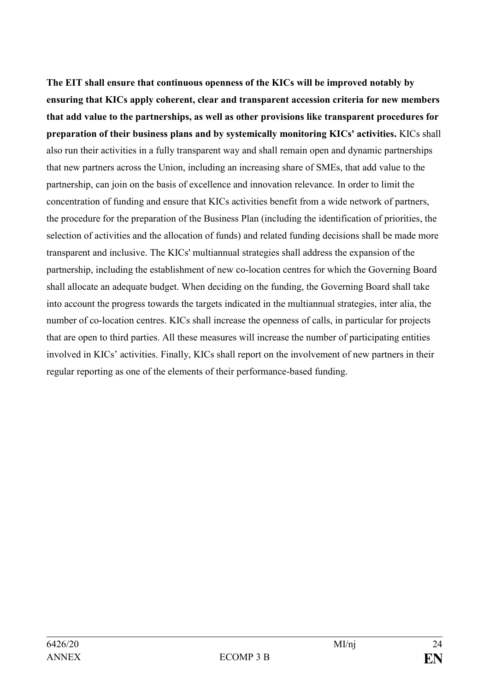**The EIT shall ensure that continuous openness of the KICs will be improved notably by ensuring that KICs apply coherent, clear and transparent accession criteria for new members that add value to the partnerships, as well as other provisions like transparent procedures for preparation of their business plans and by systemically monitoring KICs' activities.** KICs shall also run their activities in a fully transparent way and shall remain open and dynamic partnerships that new partners across the Union, including an increasing share of SMEs, that add value to the partnership, can join on the basis of excellence and innovation relevance. In order to limit the concentration of funding and ensure that KICs activities benefit from a wide network of partners, the procedure for the preparation of the Business Plan (including the identification of priorities, the selection of activities and the allocation of funds) and related funding decisions shall be made more transparent and inclusive. The KICs' multiannual strategies shall address the expansion of the partnership, including the establishment of new co-location centres for which the Governing Board shall allocate an adequate budget. When deciding on the funding, the Governing Board shall take into account the progress towards the targets indicated in the multiannual strategies, inter alia, the number of co-location centres. KICs shall increase the openness of calls, in particular for projects that are open to third parties. All these measures will increase the number of participating entities involved in KICs' activities. Finally, KICs shall report on the involvement of new partners in their regular reporting as one of the elements of their performance-based funding.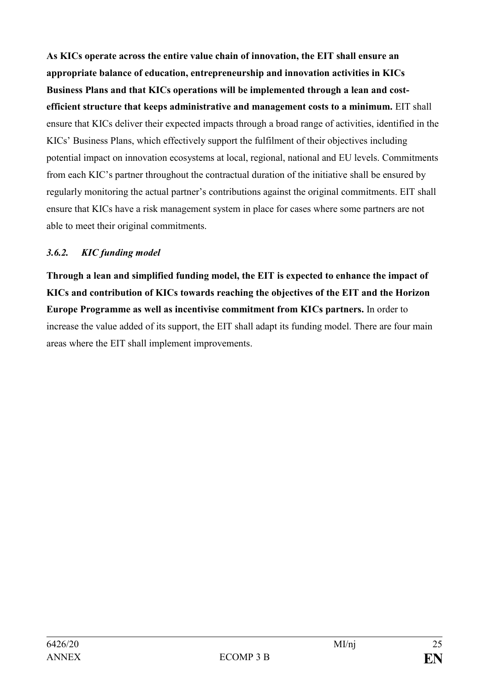**As KICs operate across the entire value chain of innovation, the EIT shall ensure an appropriate balance of education, entrepreneurship and innovation activities in KICs Business Plans and that KICs operations will be implemented through a lean and costefficient structure that keeps administrative and management costs to a minimum.** EIT shall ensure that KICs deliver their expected impacts through a broad range of activities, identified in the KICs' Business Plans, which effectively support the fulfilment of their objectives including potential impact on innovation ecosystems at local, regional, national and EU levels. Commitments from each KIC's partner throughout the contractual duration of the initiative shall be ensured by regularly monitoring the actual partner's contributions against the original commitments. EIT shall ensure that KICs have a risk management system in place for cases where some partners are not able to meet their original commitments.

## *3.6.2. KIC funding model*

**Through a lean and simplified funding model, the EIT is expected to enhance the impact of KICs and contribution of KICs towards reaching the objectives of the EIT and the Horizon Europe Programme as well as incentivise commitment from KICs partners.** In order to increase the value added of its support, the EIT shall adapt its funding model. There are four main areas where the EIT shall implement improvements.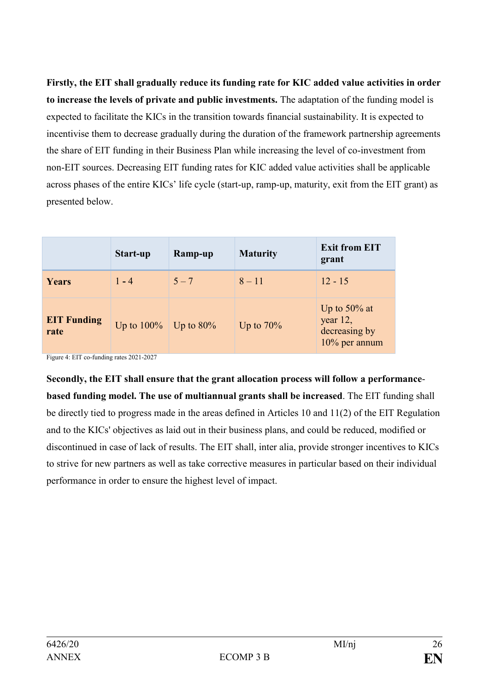**Firstly, the EIT shall gradually reduce its funding rate for KIC added value activities in order to increase the levels of private and public investments.** The adaptation of the funding model is expected to facilitate the KICs in the transition towards financial sustainability. It is expected to incentivise them to decrease gradually during the duration of the framework partnership agreements the share of EIT funding in their Business Plan while increasing the level of co-investment from non-EIT sources. Decreasing EIT funding rates for KIC added value activities shall be applicable across phases of the entire KICs' life cycle (start-up, ramp-up, maturity, exit from the EIT grant) as presented below.

|                            | Start-up      | Ramp-up           | <b>Maturity</b> | <b>Exit from EIT</b><br>grant                                 |
|----------------------------|---------------|-------------------|-----------------|---------------------------------------------------------------|
| Years                      | $1 - 4$       | $5 - 7$           | $8 - 11$        | $12 - 15$                                                     |
| <b>EIT Funding</b><br>rate | Up to $100\%$ | $\vert$ Up to 80% | Up to $70\%$    | Up to $50\%$ at<br>year 12,<br>decreasing by<br>10% per annum |

Figure 4: EIT co-funding rates 2021-2027

**Secondly, the EIT shall ensure that the grant allocation process will follow a performancebased funding model. The use of multiannual grants shall be increased**. The EIT funding shall be directly tied to progress made in the areas defined in Articles 10 and 11(2) of the EIT Regulation and to the KICs' objectives as laid out in their business plans, and could be reduced, modified or discontinued in case of lack of results. The EIT shall, inter alia, provide stronger incentives to KICs to strive for new partners as well as take corrective measures in particular based on their individual performance in order to ensure the highest level of impact.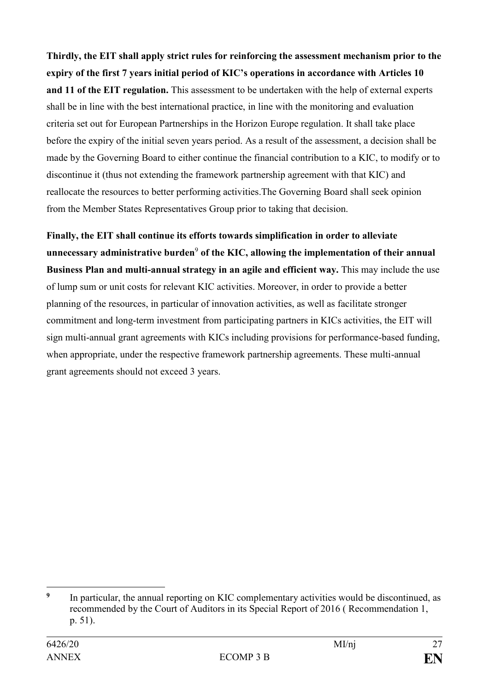**Thirdly, the EIT shall apply strict rules for reinforcing the assessment mechanism prior to the expiry of the first 7 years initial period of KIC's operations in accordance with Articles 10 and 11 of the EIT regulation.** This assessment to be undertaken with the help of external experts shall be in line with the best international practice, in line with the monitoring and evaluation criteria set out for European Partnerships in the Horizon Europe regulation. It shall take place before the expiry of the initial seven years period. As a result of the assessment, a decision shall be made by the Governing Board to either continue the financial contribution to a KIC, to modify or to discontinue it (thus not extending the framework partnership agreement with that KIC) and reallocate the resources to better performing activities.The Governing Board shall seek opinion from the Member States Representatives Group prior to taking that decision.

**Finally, the EIT shall continue its efforts towards simplification in order to alleviate**  unnecessary administrative burden<sup>9</sup> of the KIC, allowing the implementation of their annual **Business Plan and multi-annual strategy in an agile and efficient way.** This may include the use of lump sum or unit costs for relevant KIC activities. Moreover, in order to provide a better planning of the resources, in particular of innovation activities, as well as facilitate stronger commitment and long-term investment from participating partners in KICs activities, the EIT will sign multi-annual grant agreements with KICs including provisions for performance-based funding, when appropriate, under the respective framework partnership agreements. These multi-annual grant agreements should not exceed 3 years.

<sup>&</sup>lt;u>.</u> **9** In particular, the annual reporting on KIC complementary activities would be discontinued, as recommended by the Court of Auditors in its Special Report of 2016 ( Recommendation 1, p. 51).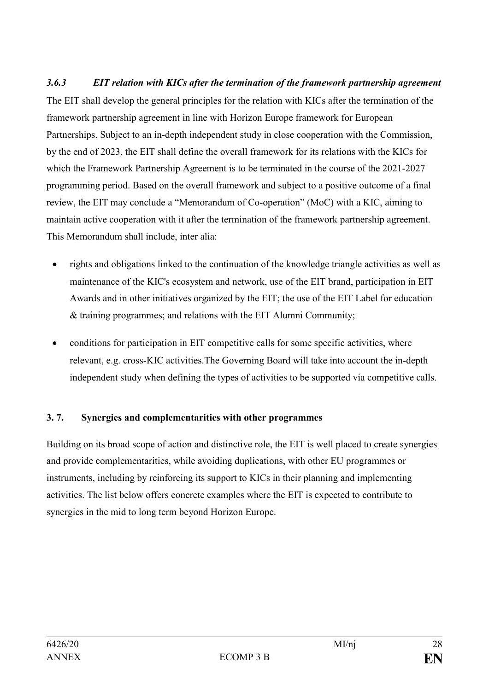*3.6.3 EIT relation with KICs after the termination of the framework partnership agreement* The EIT shall develop the general principles for the relation with KICs after the termination of the framework partnership agreement in line with Horizon Europe framework for European Partnerships. Subject to an in-depth independent study in close cooperation with the Commission, by the end of 2023, the EIT shall define the overall framework for its relations with the KICs for which the Framework Partnership Agreement is to be terminated in the course of the 2021-2027 programming period. Based on the overall framework and subject to a positive outcome of a final review, the EIT may conclude a "Memorandum of Co-operation" (MoC) with a KIC, aiming to maintain active cooperation with it after the termination of the framework partnership agreement. This Memorandum shall include, inter alia:

- rights and obligations linked to the continuation of the knowledge triangle activities as well as maintenance of the KIC's ecosystem and network, use of the EIT brand, participation in EIT Awards and in other initiatives organized by the EIT; the use of the EIT Label for education & training programmes; and relations with the EIT Alumni Community;
- conditions for participation in EIT competitive calls for some specific activities, where relevant, e.g. cross-KIC activities.The Governing Board will take into account the in-depth independent study when defining the types of activities to be supported via competitive calls.

## **3. 7. Synergies and complementarities with other programmes**

Building on its broad scope of action and distinctive role, the EIT is well placed to create synergies and provide complementarities, while avoiding duplications, with other EU programmes or instruments, including by reinforcing its support to KICs in their planning and implementing activities. The list below offers concrete examples where the EIT is expected to contribute to synergies in the mid to long term beyond Horizon Europe.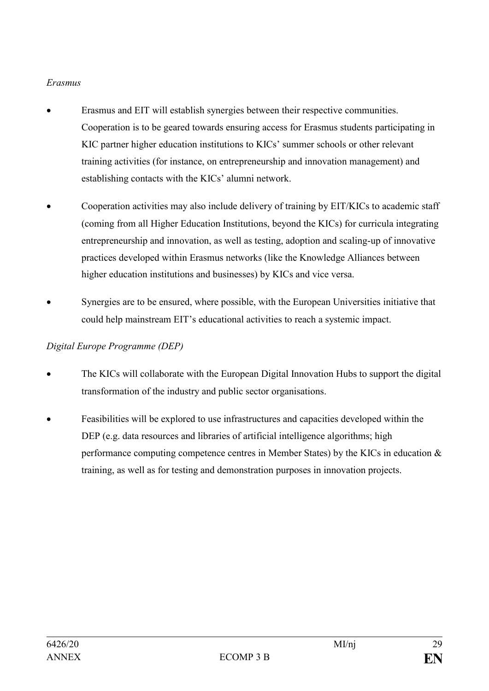## *Erasmus*

- Erasmus and EIT will establish synergies between their respective communities. Cooperation is to be geared towards ensuring access for Erasmus students participating in KIC partner higher education institutions to KICs' summer schools or other relevant training activities (for instance, on entrepreneurship and innovation management) and establishing contacts with the KICs' alumni network.
- Cooperation activities may also include delivery of training by EIT/KICs to academic staff (coming from all Higher Education Institutions, beyond the KICs) for curricula integrating entrepreneurship and innovation, as well as testing, adoption and scaling-up of innovative practices developed within Erasmus networks (like the Knowledge Alliances between higher education institutions and businesses) by KICs and vice versa.
- Synergies are to be ensured, where possible, with the European Universities initiative that could help mainstream EIT's educational activities to reach a systemic impact.

## *Digital Europe Programme (DEP)*

- The KICs will collaborate with the European Digital Innovation Hubs to support the digital transformation of the industry and public sector organisations.
- Feasibilities will be explored to use infrastructures and capacities developed within the DEP (e.g. data resources and libraries of artificial intelligence algorithms; high performance computing competence centres in Member States) by the KICs in education  $\&$ training, as well as for testing and demonstration purposes in innovation projects.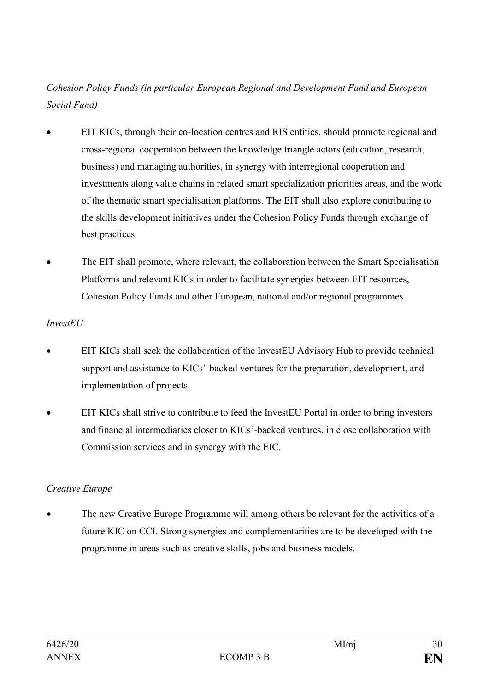## *Cohesion Policy Funds (in particular European Regional and Development Fund and European Social Fund)*

- EIT KICs, through their co-location centres and RIS entities, should promote regional and cross-regional cooperation between the knowledge triangle actors (education, research, business) and managing authorities, in synergy with interregional cooperation and investments along value chains in related smart specialization priorities areas, and the work of the thematic smart specialisation platforms. The EIT shall also explore contributing to the skills development initiatives under the Cohesion Policy Funds through exchange of best practices.
- The EIT shall promote, where relevant, the collaboration between the Smart Specialisation Platforms and relevant KICs in order to facilitate synergies between EIT resources, Cohesion Policy Funds and other European, national and/or regional programmes.

## *InvestEU*

- EIT KICs shall seek the collaboration of the InvestEU Advisory Hub to provide technical support and assistance to KICs'-backed ventures for the preparation, development, and implementation of projects.
- EIT KICs shall strive to contribute to feed the InvestEU Portal in order to bring investors and financial intermediaries closer to KICs'-backed ventures, in close collaboration with Commission services and in synergy with the EIC.

## *Creative Europe*

• The new Creative Europe Programme will among others be relevant for the activities of a future KIC on CCI. Strong synergies and complementarities are to be developed with the programme in areas such as creative skills, jobs and business models.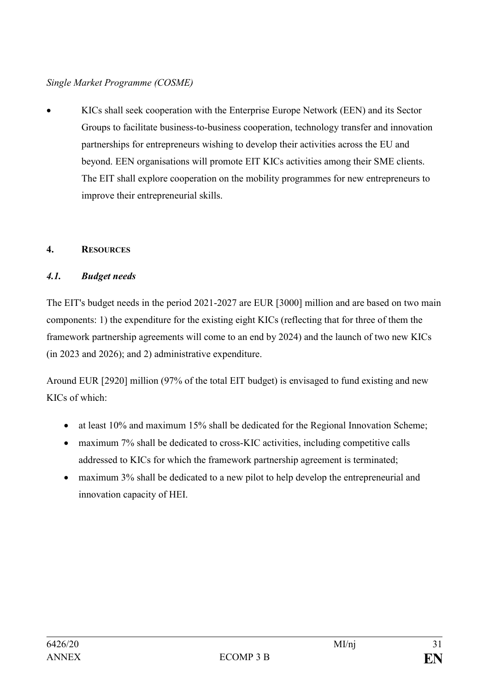## *Single Market Programme (COSME)*

• KICs shall seek cooperation with the Enterprise Europe Network (EEN) and its Sector Groups to facilitate business-to-business cooperation, technology transfer and innovation partnerships for entrepreneurs wishing to develop their activities across the EU and beyond. EEN organisations will promote EIT KICs activities among their SME clients. The EIT shall explore cooperation on the mobility programmes for new entrepreneurs to improve their entrepreneurial skills.

## **4. RESOURCES**

## *4.1. Budget needs*

The EIT's budget needs in the period 2021-2027 are EUR [3000] million and are based on two main components: 1) the expenditure for the existing eight KICs (reflecting that for three of them the framework partnership agreements will come to an end by 2024) and the launch of two new KICs (in 2023 and 2026); and 2) administrative expenditure.

Around EUR [2920] million (97% of the total EIT budget) is envisaged to fund existing and new KICs of which:

- at least 10% and maximum 15% shall be dedicated for the Regional Innovation Scheme;
- maximum 7% shall be dedicated to cross-KIC activities, including competitive calls addressed to KICs for which the framework partnership agreement is terminated;
- maximum 3% shall be dedicated to a new pilot to help develop the entrepreneurial and innovation capacity of HEI.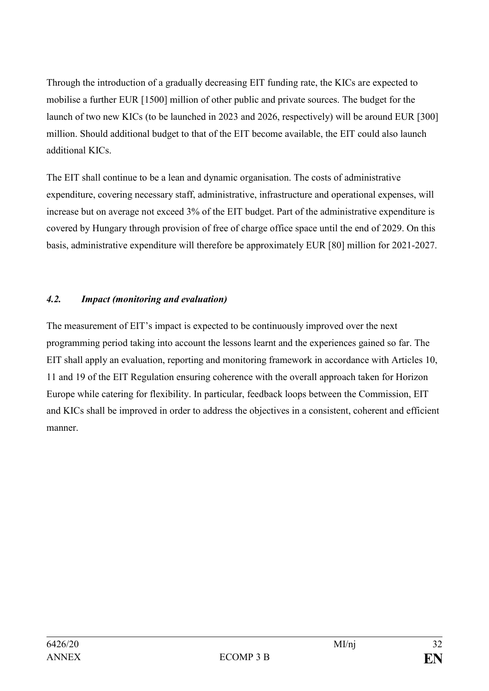Through the introduction of a gradually decreasing EIT funding rate, the KICs are expected to mobilise a further EUR [1500] million of other public and private sources. The budget for the launch of two new KICs (to be launched in 2023 and 2026, respectively) will be around EUR [300] million. Should additional budget to that of the EIT become available, the EIT could also launch additional KICs.

The EIT shall continue to be a lean and dynamic organisation. The costs of administrative expenditure, covering necessary staff, administrative, infrastructure and operational expenses, will increase but on average not exceed 3% of the EIT budget. Part of the administrative expenditure is covered by Hungary through provision of free of charge office space until the end of 2029. On this basis, administrative expenditure will therefore be approximately EUR [80] million for 2021-2027.

## *4.2. Impact (monitoring and evaluation)*

The measurement of EIT's impact is expected to be continuously improved over the next programming period taking into account the lessons learnt and the experiences gained so far. The EIT shall apply an evaluation, reporting and monitoring framework in accordance with Articles 10, 11 and 19 of the EIT Regulation ensuring coherence with the overall approach taken for Horizon Europe while catering for flexibility. In particular, feedback loops between the Commission, EIT and KICs shall be improved in order to address the objectives in a consistent, coherent and efficient manner.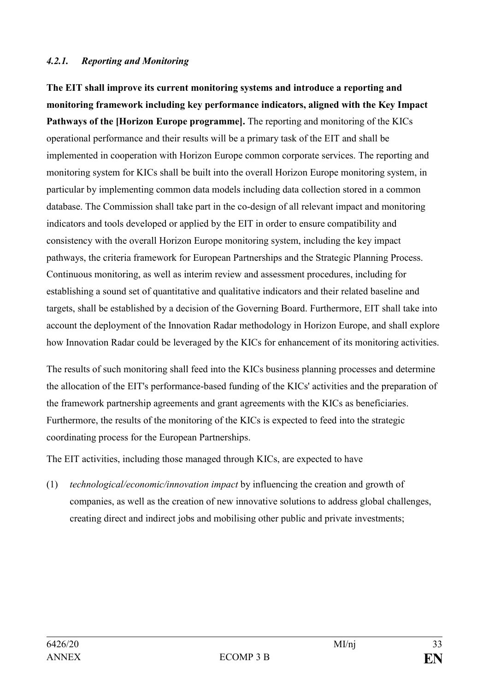#### *4.2.1. Reporting and Monitoring*

**The EIT shall improve its current monitoring systems and introduce a reporting and monitoring framework including key performance indicators, aligned with the Key Impact Pathways of the [Horizon Europe programme].** The reporting and monitoring of the KICs operational performance and their results will be a primary task of the EIT and shall be implemented in cooperation with Horizon Europe common corporate services. The reporting and monitoring system for KICs shall be built into the overall Horizon Europe monitoring system, in particular by implementing common data models including data collection stored in a common database. The Commission shall take part in the co-design of all relevant impact and monitoring indicators and tools developed or applied by the EIT in order to ensure compatibility and consistency with the overall Horizon Europe monitoring system, including the key impact pathways, the criteria framework for European Partnerships and the Strategic Planning Process. Continuous monitoring, as well as interim review and assessment procedures, including for establishing a sound set of quantitative and qualitative indicators and their related baseline and targets, shall be established by a decision of the Governing Board. Furthermore, EIT shall take into account the deployment of the Innovation Radar methodology in Horizon Europe, and shall explore how Innovation Radar could be leveraged by the KICs for enhancement of its monitoring activities.

The results of such monitoring shall feed into the KICs business planning processes and determine the allocation of the EIT's performance-based funding of the KICs' activities and the preparation of the framework partnership agreements and grant agreements with the KICs as beneficiaries. Furthermore, the results of the monitoring of the KICs is expected to feed into the strategic coordinating process for the European Partnerships.

The EIT activities, including those managed through KICs, are expected to have

(1) *technological/economic/innovation impact* by influencing the creation and growth of companies, as well as the creation of new innovative solutions to address global challenges, creating direct and indirect jobs and mobilising other public and private investments;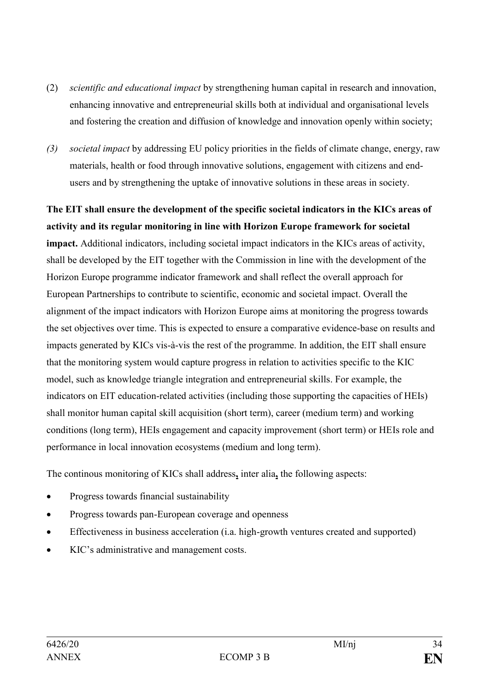- (2) *scientific and educational impact* by strengthening human capital in research and innovation, enhancing innovative and entrepreneurial skills both at individual and organisational levels and fostering the creation and diffusion of knowledge and innovation openly within society;
- *(3) societal impact* by addressing EU policy priorities in the fields of climate change, energy, raw materials, health or food through innovative solutions, engagement with citizens and endusers and by strengthening the uptake of innovative solutions in these areas in society.

**The EIT shall ensure the development of the specific societal indicators in the KICs areas of activity and its regular monitoring in line with Horizon Europe framework for societal impact.** Additional indicators, including societal impact indicators in the KICs areas of activity, shall be developed by the EIT together with the Commission in line with the development of the Horizon Europe programme indicator framework and shall reflect the overall approach for European Partnerships to contribute to scientific, economic and societal impact. Overall the alignment of the impact indicators with Horizon Europe aims at monitoring the progress towards the set objectives over time. This is expected to ensure a comparative evidence-base on results and impacts generated by KICs vis-à-vis the rest of the programme. In addition, the EIT shall ensure that the monitoring system would capture progress in relation to activities specific to the KIC model, such as knowledge triangle integration and entrepreneurial skills. For example, the indicators on EIT education-related activities (including those supporting the capacities of HEIs) shall monitor human capital skill acquisition (short term), career (medium term) and working conditions (long term), HEIs engagement and capacity improvement (short term) or HEIs role and performance in local innovation ecosystems (medium and long term).

The continous monitoring of KICs shall address**,** inter alia**,** the following aspects:

- Progress towards financial sustainability
- Progress towards pan-European coverage and openness
- Effectiveness in business acceleration (i.a. high-growth ventures created and supported)
- KIC's administrative and management costs.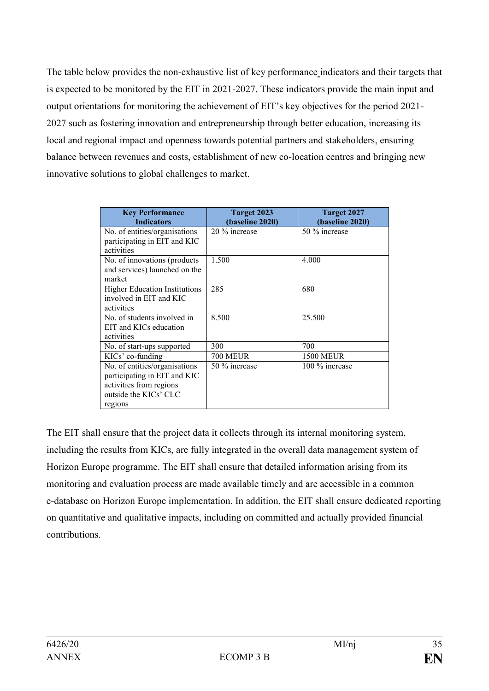The table below provides the non-exhaustive list of key performance indicators and their targets that is expected to be monitored by the EIT in 2021-2027. These indicators provide the main input and output orientations for monitoring the achievement of EIT's key objectives for the period 2021- 2027 such as fostering innovation and entrepreneurship through better education, increasing its local and regional impact and openness towards potential partners and stakeholders, ensuring balance between revenues and costs, establishment of new co-location centres and bringing new innovative solutions to global challenges to market.

| <b>Key Performance</b><br><b>Indicators</b>                                                                                  | Target 2023<br>(baseline 2020) | Target 2027<br>(baseline 2020) |
|------------------------------------------------------------------------------------------------------------------------------|--------------------------------|--------------------------------|
| No. of entities/organisations<br>participating in EIT and KIC<br>activities                                                  | 20 % increase                  | 50 % increase                  |
| No. of innovations (products<br>and services) launched on the<br>market                                                      | 1.500                          | 4.000                          |
| <b>Higher Education Institutions</b><br>involved in EIT and KIC<br>activities                                                | 285                            | 680                            |
| No. of students involved in<br>EIT and KICs education<br>activities                                                          | 8.500                          | 25.500                         |
| No. of start-ups supported                                                                                                   | 300                            | 700                            |
| KICs' co-funding                                                                                                             | <b>700 MEUR</b>                | <b>1500 MEUR</b>               |
| No. of entities/organisations<br>participating in EIT and KIC<br>activities from regions<br>outside the KICs' CLC<br>regions | 50 % increase                  | 100 % increase                 |

The EIT shall ensure that the project data it collects through its internal monitoring system, including the results from KICs, are fully integrated in the overall data management system of Horizon Europe programme. The EIT shall ensure that detailed information arising from its monitoring and evaluation process are made available timely and are accessible in a common e-database on Horizon Europe implementation. In addition, the EIT shall ensure dedicated reporting on quantitative and qualitative impacts, including on committed and actually provided financial contributions.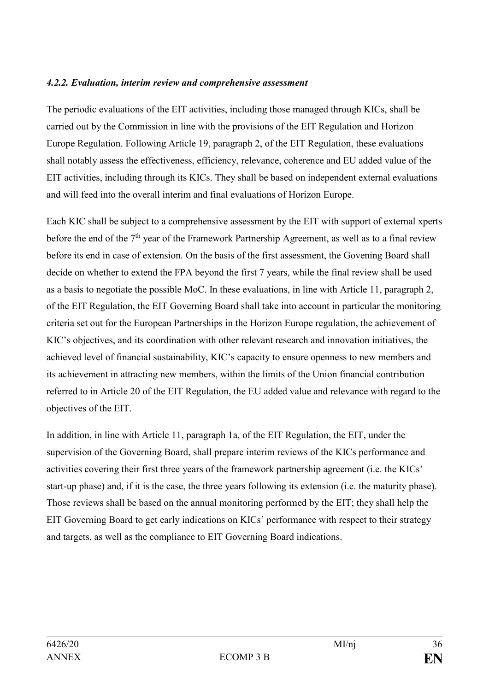#### *4.2.2. Evaluation, interim review and comprehensive assessment*

The periodic evaluations of the EIT activities, including those managed through KICs, shall be carried out by the Commission in line with the provisions of the EIT Regulation and Horizon Europe Regulation. Following Article 19, paragraph 2, of the EIT Regulation, these evaluations shall notably assess the effectiveness, efficiency, relevance, coherence and EU added value of the EIT activities, including through its KICs. They shall be based on independent external evaluations and will feed into the overall interim and final evaluations of Horizon Europe.

Each KIC shall be subject to a comprehensive assessment by the EIT with support of external xperts before the end of the 7<sup>th</sup> year of the Framework Partnership Agreement, as well as to a final review before its end in case of extension. On the basis of the first assessment, the Govening Board shall decide on whether to extend the FPA beyond the first 7 years, while the final review shall be used as a basis to negotiate the possible MoC. In these evaluations, in line with Article 11, paragraph 2, of the EIT Regulation, the EIT Governing Board shall take into account in particular the monitoring criteria set out for the European Partnerships in the Horizon Europe regulation, the achievement of KIC's objectives, and its coordination with other relevant research and innovation initiatives, the achieved level of financial sustainability, KIC's capacity to ensure openness to new members and its achievement in attracting new members, within the limits of the Union financial contribution referred to in Article 20 of the EIT Regulation, the EU added value and relevance with regard to the objectives of the EIT.

In addition, in line with Article 11, paragraph 1a, of the EIT Regulation, the EIT, under the supervision of the Governing Board, shall prepare interim reviews of the KICs performance and activities covering their first three years of the framework partnership agreement (i.e. the KICs' start-up phase) and, if it is the case, the three years following its extension (i.e. the maturity phase). Those reviews shall be based on the annual monitoring performed by the EIT; they shall help the EIT Governing Board to get early indications on KICs' performance with respect to their strategy and targets, as well as the compliance to EIT Governing Board indications.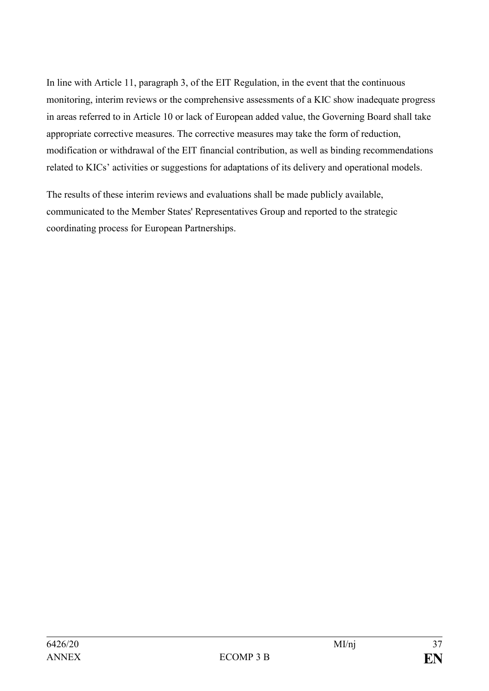In line with Article 11, paragraph 3, of the EIT Regulation, in the event that the continuous monitoring, interim reviews or the comprehensive assessments of a KIC show inadequate progress in areas referred to in Article 10 or lack of European added value, the Governing Board shall take appropriate corrective measures. The corrective measures may take the form of reduction, modification or withdrawal of the EIT financial contribution, as well as binding recommendations related to KICs' activities or suggestions for adaptations of its delivery and operational models.

The results of these interim reviews and evaluations shall be made publicly available, communicated to the Member States' Representatives Group and reported to the strategic coordinating process for European Partnerships.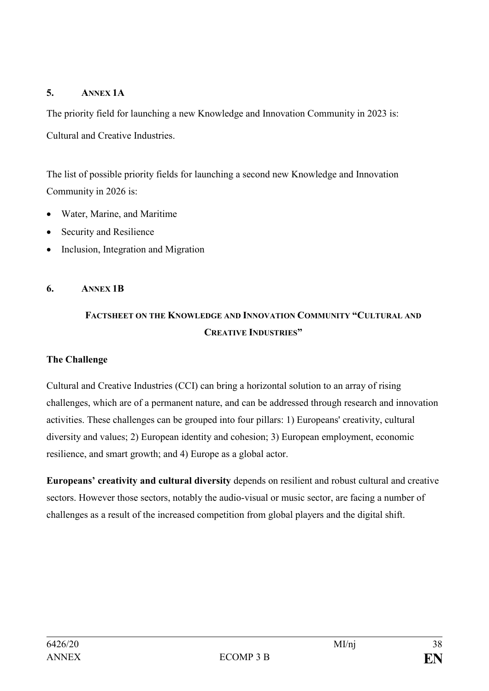## **5. ANNEX 1A**

The priority field for launching a new Knowledge and Innovation Community in 2023 is: Cultural and Creative Industries.

The list of possible priority fields for launching a second new Knowledge and Innovation Community in 2026 is:

- Water, Marine, and Maritime
- Security and Resilience
- Inclusion, Integration and Migration

#### **6. ANNEX 1B**

## **FACTSHEET ON THE KNOWLEDGE AND INNOVATION COMMUNITY "CULTURAL AND CREATIVE INDUSTRIES"**

#### **The Challenge**

Cultural and Creative Industries (CCI) can bring a horizontal solution to an array of rising challenges, which are of a permanent nature, and can be addressed through research and innovation activities. These challenges can be grouped into four pillars: 1) Europeans' creativity, cultural diversity and values; 2) European identity and cohesion; 3) European employment, economic resilience, and smart growth; and 4) Europe as a global actor.

**Europeans' creativity and cultural diversity** depends on resilient and robust cultural and creative sectors. However those sectors, notably the audio-visual or music sector, are facing a number of challenges as a result of the increased competition from global players and the digital shift.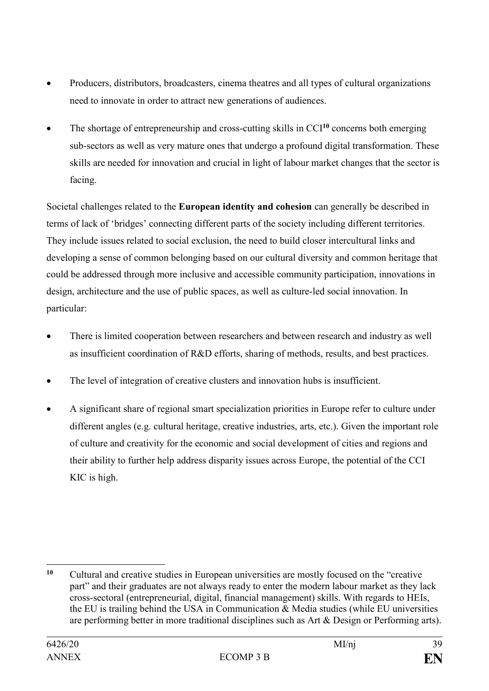- Producers, distributors, broadcasters, cinema theatres and all types of cultural organizations need to innovate in order to attract new generations of audiences.
- The shortage of entrepreneurship and cross-cutting skills in CCI**<sup>10</sup>** concerns both emerging sub-sectors as well as very mature ones that undergo a profound digital transformation. These skills are needed for innovation and crucial in light of labour market changes that the sector is facing.

Societal challenges related to the **European identity and cohesion** can generally be described in terms of lack of 'bridges' connecting different parts of the society including different territories. They include issues related to social exclusion, the need to build closer intercultural links and developing a sense of common belonging based on our cultural diversity and common heritage that could be addressed through more inclusive and accessible community participation, innovations in design, architecture and the use of public spaces, as well as culture-led social innovation. In particular:

- There is limited cooperation between researchers and between research and industry as well as insufficient coordination of R&D efforts, sharing of methods, results, and best practices.
- The level of integration of creative clusters and innovation hubs is insufficient.
- A significant share of regional smart specialization priorities in Europe refer to culture under different angles (e.g. cultural heritage, creative industries, arts, etc.). Given the important role of culture and creativity for the economic and social development of cities and regions and their ability to further help address disparity issues across Europe, the potential of the CCI KIC is high.

1

**<sup>10</sup>** Cultural and creative studies in European universities are mostly focused on the "creative part" and their graduates are not always ready to enter the modern labour market as they lack cross-sectoral (entrepreneurial, digital, financial management) skills. With regards to HEIs, the EU is trailing behind the USA in Communication & Media studies (while EU universities are performing better in more traditional disciplines such as Art & Design or Performing arts).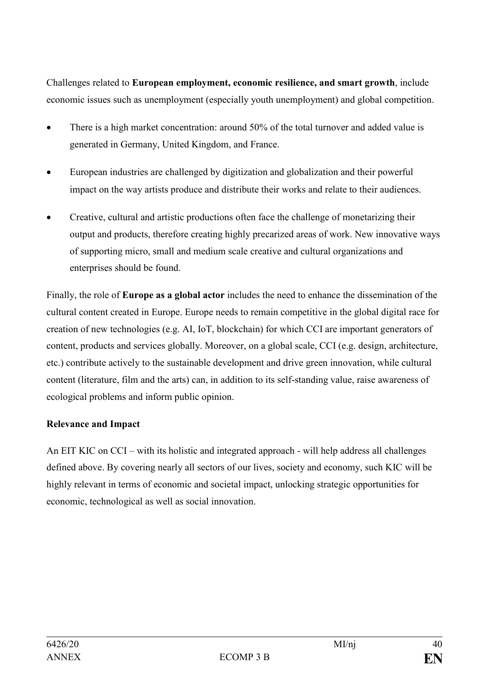Challenges related to **European employment, economic resilience, and smart growth**, include economic issues such as unemployment (especially youth unemployment) and global competition.

- There is a high market concentration: around 50% of the total turnover and added value is generated in Germany, United Kingdom, and France.
- European industries are challenged by digitization and globalization and their powerful impact on the way artists produce and distribute their works and relate to their audiences.
- Creative, cultural and artistic productions often face the challenge of monetarizing their output and products, therefore creating highly precarized areas of work. New innovative ways of supporting micro, small and medium scale creative and cultural organizations and enterprises should be found.

Finally, the role of **Europe as a global actor** includes the need to enhance the dissemination of the cultural content created in Europe. Europe needs to remain competitive in the global digital race for creation of new technologies (e.g. AI, IoT, blockchain) for which CCI are important generators of content, products and services globally. Moreover, on a global scale, CCI (e.g. design, architecture, etc.) contribute actively to the sustainable development and drive green innovation, while cultural content (literature, film and the arts) can, in addition to its self-standing value, raise awareness of ecological problems and inform public opinion.

#### **Relevance and Impact**

An EIT KIC on CCI – with its holistic and integrated approach - will help address all challenges defined above. By covering nearly all sectors of our lives, society and economy, such KIC will be highly relevant in terms of economic and societal impact, unlocking strategic opportunities for economic, technological as well as social innovation.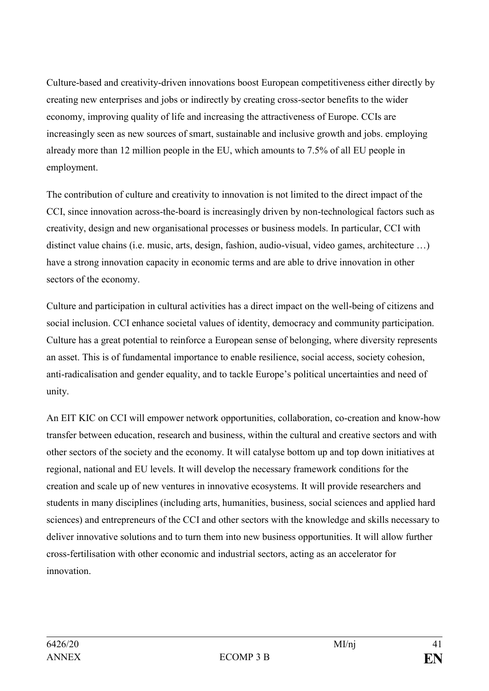Culture-based and creativity-driven innovations boost European competitiveness either directly by creating new enterprises and jobs or indirectly by creating cross-sector benefits to the wider economy, improving quality of life and increasing the attractiveness of Europe. CCIs are increasingly seen as new sources of smart, sustainable and inclusive growth and jobs. employing already more than 12 million people in the EU, which amounts to 7.5% of all EU people in employment.

The contribution of culture and creativity to innovation is not limited to the direct impact of the CCI, since innovation across-the-board is increasingly driven by non-technological factors such as creativity, design and new organisational processes or business models. In particular, CCI with distinct value chains (i.e. music, arts, design, fashion, audio-visual, video games, architecture …) have a strong innovation capacity in economic terms and are able to drive innovation in other sectors of the economy.

Culture and participation in cultural activities has a direct impact on the well-being of citizens and social inclusion. CCI enhance societal values of identity, democracy and community participation. Culture has a great potential to reinforce a European sense of belonging, where diversity represents an asset. This is of fundamental importance to enable resilience, social access, society cohesion, anti-radicalisation and gender equality, and to tackle Europe's political uncertainties and need of unity.

An EIT KIC on CCI will empower network opportunities, collaboration, co-creation and know-how transfer between education, research and business, within the cultural and creative sectors and with other sectors of the society and the economy. It will catalyse bottom up and top down initiatives at regional, national and EU levels. It will develop the necessary framework conditions for the creation and scale up of new ventures in innovative ecosystems. It will provide researchers and students in many disciplines (including arts, humanities, business, social sciences and applied hard sciences) and entrepreneurs of the CCI and other sectors with the knowledge and skills necessary to deliver innovative solutions and to turn them into new business opportunities. It will allow further cross-fertilisation with other economic and industrial sectors, acting as an accelerator for innovation.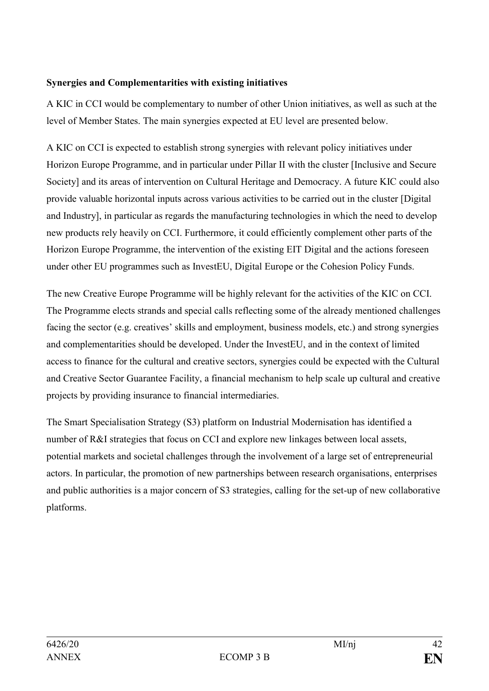## **Synergies and Complementarities with existing initiatives**

A KIC in CCI would be complementary to number of other Union initiatives, as well as such at the level of Member States. The main synergies expected at EU level are presented below.

A KIC on CCI is expected to establish strong synergies with relevant policy initiatives under Horizon Europe Programme, and in particular under Pillar II with the cluster [Inclusive and Secure Society] and its areas of intervention on Cultural Heritage and Democracy. A future KIC could also provide valuable horizontal inputs across various activities to be carried out in the cluster [Digital and Industry], in particular as regards the manufacturing technologies in which the need to develop new products rely heavily on CCI. Furthermore, it could efficiently complement other parts of the Horizon Europe Programme, the intervention of the existing EIT Digital and the actions foreseen under other EU programmes such as InvestEU, Digital Europe or the Cohesion Policy Funds.

The new Creative Europe Programme will be highly relevant for the activities of the KIC on CCI. The Programme elects strands and special calls reflecting some of the already mentioned challenges facing the sector (e.g. creatives' skills and employment, business models, etc.) and strong synergies and complementarities should be developed. Under the InvestEU, and in the context of limited access to finance for the cultural and creative sectors, synergies could be expected with the Cultural and Creative Sector Guarantee Facility, a financial mechanism to help scale up cultural and creative projects by providing insurance to financial intermediaries.

The Smart Specialisation Strategy (S3) platform on Industrial Modernisation has identified a number of R&I strategies that focus on CCI and explore new linkages between local assets, potential markets and societal challenges through the involvement of a large set of entrepreneurial actors. In particular, the promotion of new partnerships between research organisations, enterprises and public authorities is a major concern of S3 strategies, calling for the set-up of new collaborative platforms.